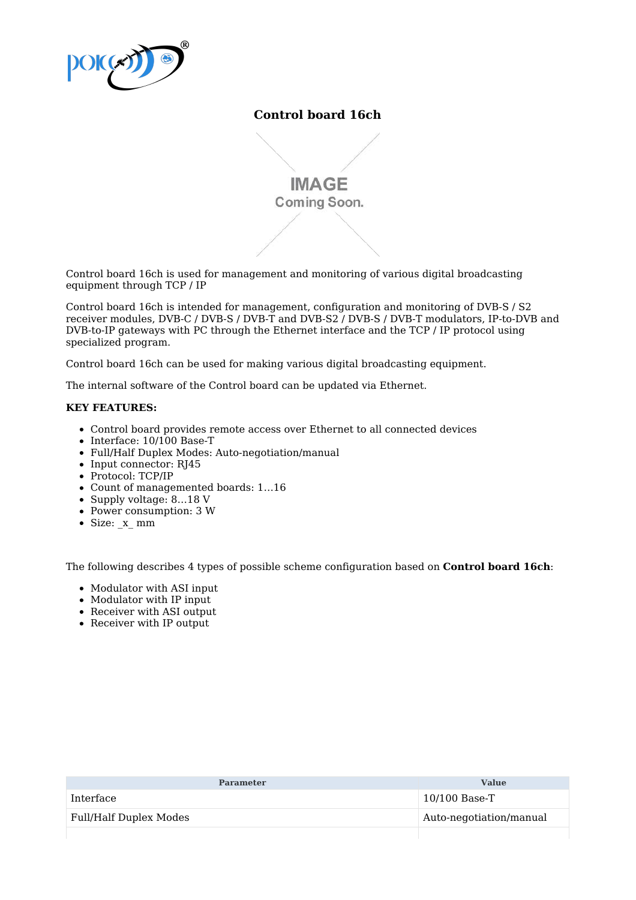

## **Control board 16ch**

**IMAGE** Coming Soon.

Control board 16ch is used for management and monitoring of various digital broadcasting equipment through TCP / IP

Control board 16ch is intended for management, configuration and monitoring of DVB-S / S2 receiver modules, DVB-C / DVB-S / DVB-T and DVB-S2 / DVB-S / DVB-T modulators, IP-to-DVB and DVB-to-IP gateways with PC through the Ethernet interface and the TCP / IP protocol using specialized program.

Control board 16ch can be used for making various digital broadcasting equipment.

The internal software of the Control board can be updated via Ethernet.

## **KEY FEATURES:**

- Control board provides remote access over Ethernet to all connected devices
- $\bullet$  Interface: 10/100 Base-T
- Full/Half Duplex Modes: Auto-negotiation/manual
- $\bullet$  Input connector: RJ45
- Protocol: TCP/IP
- Count of managemented boards: 1…16
- Supply voltage: 8…18 V
- Power consumption: 3 W
- Size: x\_ mm

The following describes 4 types of possible scheme configuration based on **Control board 16ch**:

- Modulator with ASI input
- Modulator with IP input
- Receiver with ASI output
- Receiver with IP output

| <b>Parameter</b>       | <b>Value</b>            |
|------------------------|-------------------------|
| Interface              | $10/100$ Base-T         |
| Full/Half Duplex Modes | Auto-negotiation/manual |
|                        |                         |